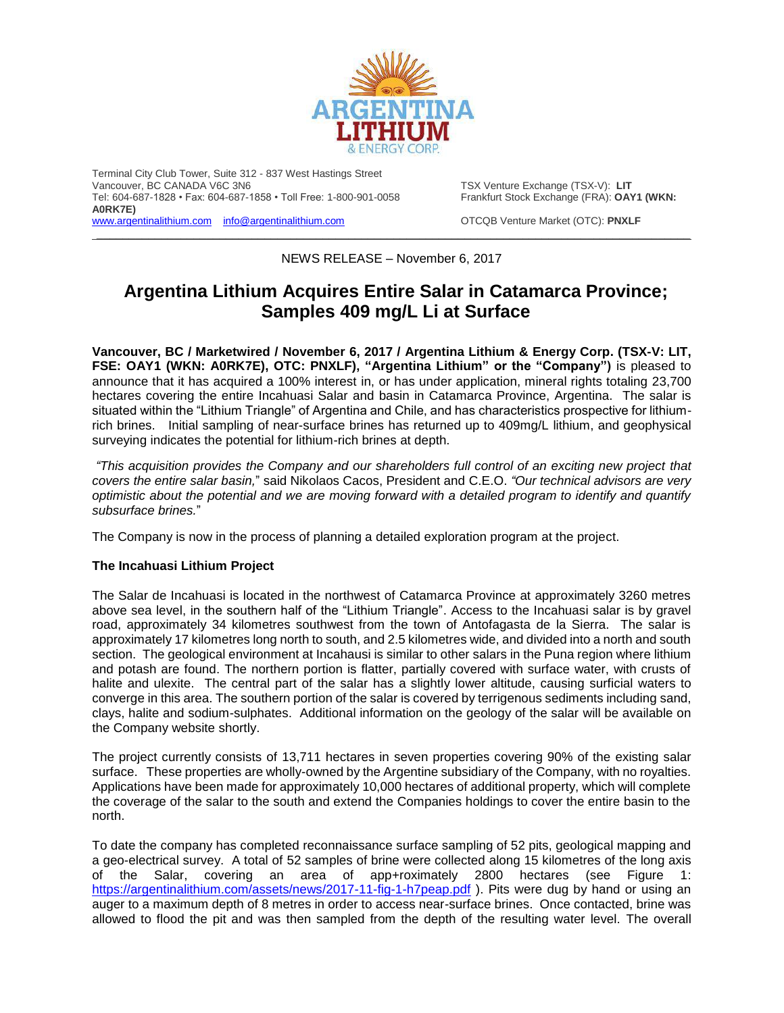

Terminal City Club Tower, Suite 312 - 837 West Hastings Street Tel: 604-687-1828 • Fax: 604-687-1858 • Toll Free: 1-800-901-0058 **A0RK7E)** [www.argentinalithium.com](http://www.argentinalithium.com/) [info@argentinalithium.com](mailto:info@argentinalithium.com) OTCQB Venture Market (OTC): **PNXLF**

TSX Venture Exchange (TSX-V): LIT<br>Frankfurt Stock Exchange (FRA): OAY1 (WKN:

\_\_\_\_\_\_\_\_\_\_\_\_\_\_\_\_\_\_\_\_\_\_\_\_\_\_\_\_\_\_\_\_\_\_\_\_\_\_\_\_\_\_\_\_\_\_\_\_\_\_\_\_\_\_\_\_\_\_\_\_\_\_\_\_\_\_\_\_\_\_\_\_\_\_\_\_\_\_\_\_\_\_\_\_\_\_\_\_\_\_\_\_

NEWS RELEASE – November 6, 2017

# **Argentina Lithium Acquires Entire Salar in Catamarca Province; Samples 409 mg/L Li at Surface**

**Vancouver, BC / Marketwired / November 6, 2017 / Argentina Lithium & Energy Corp. (TSX-V: LIT, FSE: OAY1 (WKN: A0RK7E), OTC: PNXLF), "Argentina Lithium" or the "Company")** is pleased to announce that it has acquired a 100% interest in, or has under application, mineral rights totaling 23,700 hectares covering the entire Incahuasi Salar and basin in Catamarca Province, Argentina. The salar is situated within the "Lithium Triangle" of Argentina and Chile, and has characteristics prospective for lithiumrich brines. Initial sampling of near-surface brines has returned up to 409mg/L lithium, and geophysical surveying indicates the potential for lithium-rich brines at depth.

*"This acquisition provides the Company and our shareholders full control of an exciting new project that covers the entire salar basin,*" said Nikolaos Cacos, President and C.E.O. *"Our technical advisors are very optimistic about the potential and we are moving forward with a detailed program to identify and quantify subsurface brines.*"

The Company is now in the process of planning a detailed exploration program at the project.

# **The Incahuasi Lithium Project**

The Salar de Incahuasi is located in the northwest of Catamarca Province at approximately 3260 metres above sea level, in the southern half of the "Lithium Triangle". Access to the Incahuasi salar is by gravel road, approximately 34 kilometres southwest from the town of Antofagasta de la Sierra. The salar is approximately 17 kilometres long north to south, and 2.5 kilometres wide, and divided into a north and south section. The geological environment at Incahausi is similar to other salars in the Puna region where lithium and potash are found. The northern portion is flatter, partially covered with surface water, with crusts of halite and ulexite. The central part of the salar has a slightly lower altitude, causing surficial waters to converge in this area. The southern portion of the salar is covered by terrigenous sediments including sand, clays, halite and sodium-sulphates. Additional information on the geology of the salar will be available on the Company website shortly.

The project currently consists of 13,711 hectares in seven properties covering 90% of the existing salar surface. These properties are wholly-owned by the Argentine subsidiary of the Company, with no royalties. Applications have been made for approximately 10,000 hectares of additional property, which will complete the coverage of the salar to the south and extend the Companies holdings to cover the entire basin to the north.

To date the company has completed reconnaissance surface sampling of 52 pits, geological mapping and a geo-electrical survey. A total of 52 samples of brine were collected along 15 kilometres of the long axis of the Salar, covering an area of app+roximately 2800 hectares (see Figure 1: <https://argentinalithium.com/assets/news/2017-11-fig-1-h7peap.pdf>). Pits were dug by hand or using an auger to a maximum depth of 8 metres in order to access near-surface brines. Once contacted, brine was allowed to flood the pit and was then sampled from the depth of the resulting water level. The overall